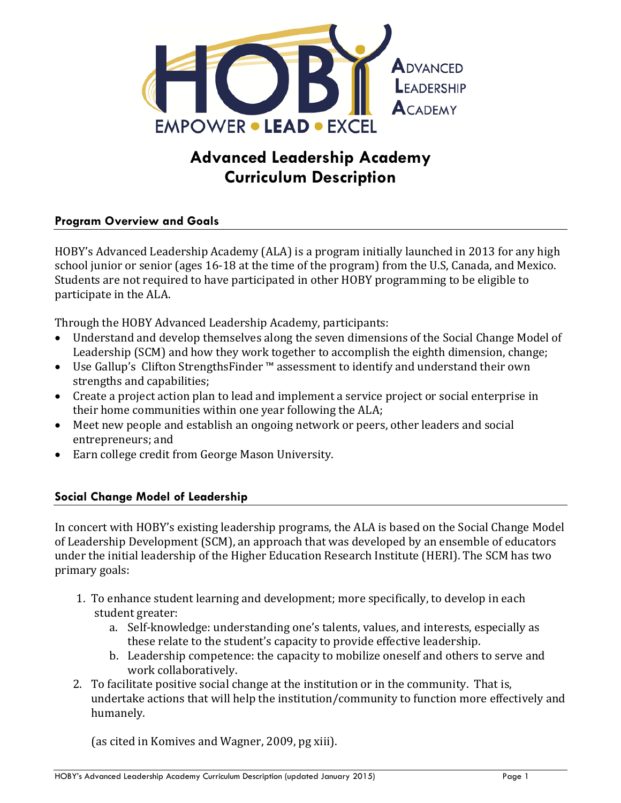

# **Advanced Leadership Academy Curriculum Description**

## **Program Overview and Goals**

HOBY's Advanced Leadership Academy (ALA) is a program initially launched in 2013 for any high school junior or senior (ages 16-18 at the time of the program) from the U.S, Canada, and Mexico. Students are not required to have participated in other HOBY programming to be eligible to participate in the ALA.

Through the HOBY Advanced Leadership Academy, participants:

- Understand and develop themselves along the seven dimensions of the Social Change Model of Leadership (SCM) and how they work together to accomplish the eighth dimension, change;
- Use Gallup's Clifton StrengthsFinder ™ assessment to identify and understand their own strengths and capabilities;
- Create a project action plan to lead and implement a service project or social enterprise in their home communities within one year following the ALA;
- Meet new people and establish an ongoing network or peers, other leaders and social entrepreneurs; and
- Earn college credit from George Mason University.

### **Social Change Model of Leadership**

In concert with HOBY's existing leadership programs, the ALA is based on the Social Change Model of Leadership Development (SCM), an approach that was developed by an ensemble of educators under the initial leadership of the Higher Education Research Institute (HERI). The SCM has two primary goals:

- 1. To enhance student learning and development; more specifically, to develop in each student greater:
	- a. Self-knowledge: understanding one's talents, values, and interests, especially as these relate to the student's capacity to provide effective leadership.
	- b. Leadership competence: the capacity to mobilize oneself and others to serve and work collaboratively.
- 2. To facilitate positive social change at the institution or in the community. That is, undertake actions that will help the institution/community to function more effectively and humanely.

(as cited in Komives and Wagner, 2009, pg xiii).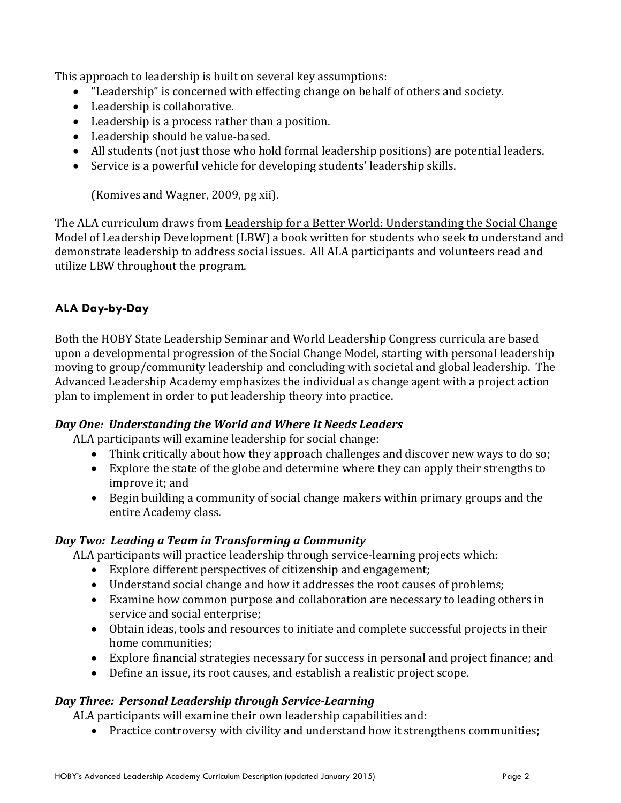This approach to leadership is built on several key assumptions:

- "Leadership" is concerned with effecting change on behalf of others and society.
- Leadership is collaborative.
- Leadership is a process rather than a position.
- Leadership should be value-based.
- All students (not just those who hold formal leadership positions) are potential leaders.
- Service is a powerful vehicle for developing students' leadership skills.

(Komives and Wagner, 2009, pg xii).

The ALA curriculum draws from Leadership for a Better World: Understanding the Social Change Model of Leadership Development (LBW) a book written for students who seek to understand and demonstrate leadership to address social issues. All ALA participants and volunteers read and utilize LBW throughout the program.

## **ALA Day-by-Day**

Both the HOBY State Leadership Seminar and World Leadership Congress curricula are based upon a developmental progression of the Social Change Model, starting with personal leadership moving to group/community leadership and concluding with societal and global leadership. The Advanced Leadership Academy emphasizes the individual as change agent with a project action plan to implement in order to put leadership theory into practice.

### *Day One: Understanding the World and Where It Needs Leaders*

ALA participants will examine leadership for social change:

- Think critically about how they approach challenges and discover new ways to do so;
- Explore the state of the globe and determine where they can apply their strengths to improve it; and
- Begin building a community of social change makers within primary groups and the entire Academy class.

### *Day Two: Leading a Team in Transforming a Community*

ALA participants will practice leadership through service-learning projects which:

- Explore different perspectives of citizenship and engagement;
- Understand social change and how it addresses the root causes of problems;
- Examine how common purpose and collaboration are necessary to leading others in service and social enterprise;
- Obtain ideas, tools and resources to initiate and complete successful projects in their home communities;
- Explore financial strategies necessary for success in personal and project finance; and
- Define an issue, its root causes, and establish a realistic project scope.

## *Day Three: Personal Leadership through Service-Learning*

ALA participants will examine their own leadership capabilities and:

• Practice controversy with civility and understand how it strengthens communities;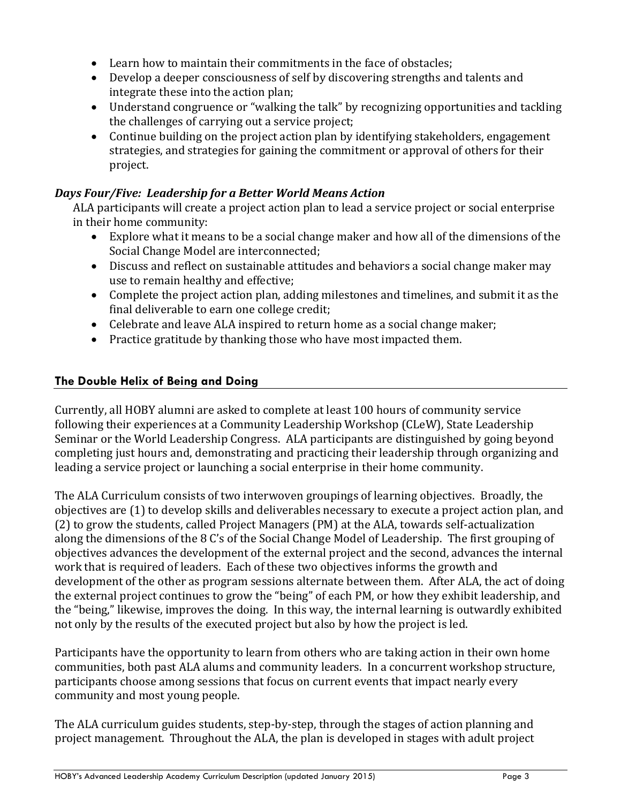- Learn how to maintain their commitments in the face of obstacles;
- Develop a deeper consciousness of self by discovering strengths and talents and integrate these into the action plan;
- Understand congruence or "walking the talk" by recognizing opportunities and tackling the challenges of carrying out a service project;
- Continue building on the project action plan by identifying stakeholders, engagement strategies, and strategies for gaining the commitment or approval of others for their project.

# *Days Four/Five: Leadership for a Better World Means Action*

ALA participants will create a project action plan to lead a service project or social enterprise in their home community:

- Explore what it means to be a social change maker and how all of the dimensions of the Social Change Model are interconnected;
- Discuss and reflect on sustainable attitudes and behaviors a social change maker may use to remain healthy and effective;
- Complete the project action plan, adding milestones and timelines, and submit it as the final deliverable to earn one college credit;
- Celebrate and leave ALA inspired to return home as a social change maker;
- Practice gratitude by thanking those who have most impacted them.

# **The Double Helix of Being and Doing**

Currently, all HOBY alumni are asked to complete at least 100 hours of community service following their experiences at a Community Leadership Workshop (CLeW), State Leadership Seminar or the World Leadership Congress. ALA participants are distinguished by going beyond completing just hours and, demonstrating and practicing their leadership through organizing and leading a service project or launching a social enterprise in their home community.

The ALA Curriculum consists of two interwoven groupings of learning objectives. Broadly, the objectives are (1) to develop skills and deliverables necessary to execute a project action plan, and (2) to grow the students, called Project Managers (PM) at the ALA, towards self-actualization along the dimensions of the 8 C's of the Social Change Model of Leadership. The first grouping of objectives advances the development of the external project and the second, advances the internal work that is required of leaders. Each of these two objectives informs the growth and development of the other as program sessions alternate between them. After ALA, the act of doing the external project continues to grow the "being" of each PM, or how they exhibit leadership, and the "being," likewise, improves the doing. In this way, the internal learning is outwardly exhibited not only by the results of the executed project but also by how the project is led.

Participants have the opportunity to learn from others who are taking action in their own home communities, both past ALA alums and community leaders. In a concurrent workshop structure, participants choose among sessions that focus on current events that impact nearly every community and most young people.

The ALA curriculum guides students, step-by-step, through the stages of action planning and project management. Throughout the ALA, the plan is developed in stages with adult project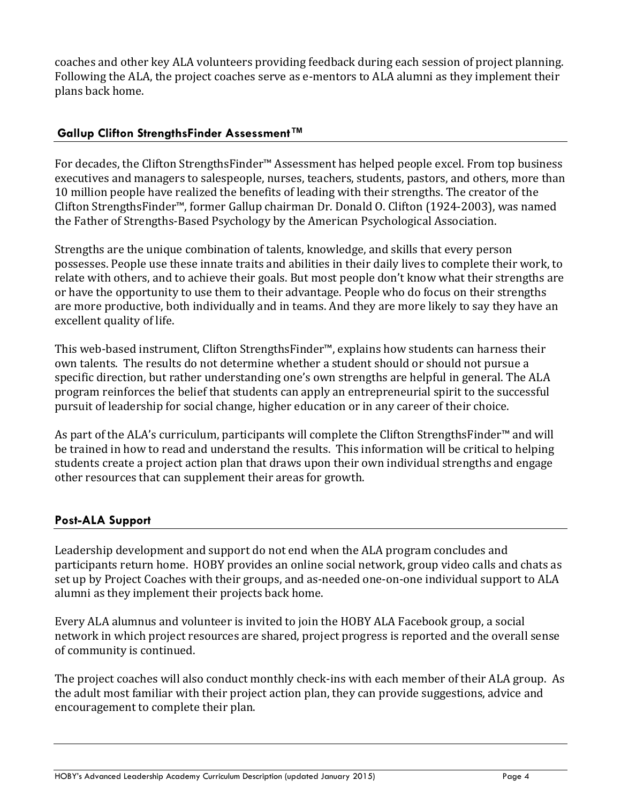coaches and other key ALA volunteers providing feedback during each session of project planning. Following the ALA, the project coaches serve as e-mentors to ALA alumni as they implement their plans back home.

## **Gallup Clifton StrengthsFinder Assessment™**

For decades, the Clifton StrengthsFinder™ Assessment has helped people excel. From top business executives and managers to salespeople, nurses, teachers, students, pastors, and others, more than 10 million people have realized the benefits of leading with their strengths. The creator of the Clifton StrengthsFinder™, former Gallup chairman Dr. Donald O. Clifton (1924-2003), was named the Father of Strengths-Based Psychology by the American Psychological Association.

Strengths are the unique combination of talents, knowledge, and skills that every person possesses. People use these innate traits and abilities in their daily lives to complete their work, to relate with others, and to achieve their goals. But most people don't know what their strengths are or have the opportunity to use them to their advantage. People who do focus on their strengths are more productive, both individually and in teams. And they are more likely to say they have an excellent quality of life.

This web-based instrument, Clifton StrengthsFinder™, explains how students can harness their own talents. The results do not determine whether a student should or should not pursue a specific direction, but rather understanding one's own strengths are helpful in general. The ALA program reinforces the belief that students can apply an entrepreneurial spirit to the successful pursuit of leadership for social change, higher education or in any career of their choice.

As part of the ALA's curriculum, participants will complete the Clifton StrengthsFinder<sup>™</sup> and will be trained in how to read and understand the results. This information will be critical to helping students create a project action plan that draws upon their own individual strengths and engage other resources that can supplement their areas for growth.

## **Post-ALA Support**

Leadership development and support do not end when the ALA program concludes and participants return home. HOBY provides an online social network, group video calls and chats as set up by Project Coaches with their groups, and as-needed one-on-one individual support to ALA alumni as they implement their projects back home.

Every ALA alumnus and volunteer is invited to join the HOBY ALA Facebook group, a social network in which project resources are shared, project progress is reported and the overall sense of community is continued.

The project coaches will also conduct monthly check-ins with each member of their ALA group. As the adult most familiar with their project action plan, they can provide suggestions, advice and encouragement to complete their plan.